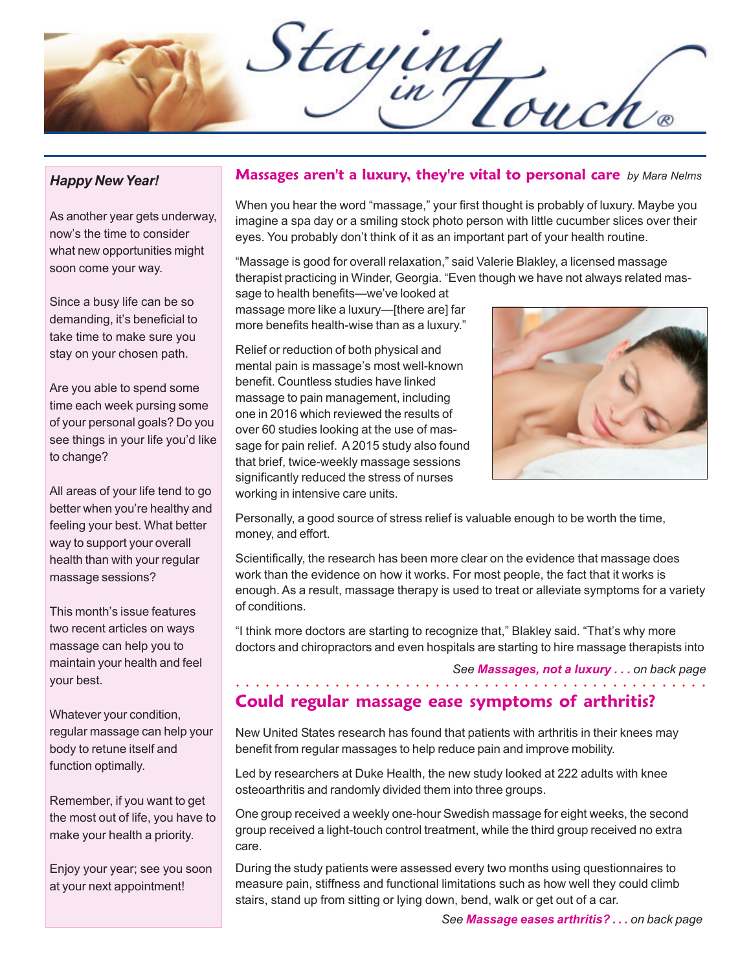Staying

### *Happy New Year!*

As another year gets underway, now's the time to consider what new opportunities might soon come your way.

Since a busy life can be so demanding, it's beneficial to take time to make sure you stay on your chosen path.

Are you able to spend some time each week pursing some of your personal goals? Do you see things in your life you'd like to change?

All areas of your life tend to go better when you're healthy and feeling your best. What better way to support your overall health than with your regular massage sessions?

This month's issue features two recent articles on ways massage can help you to maintain your health and feel your best.

Whatever your condition, regular massage can help your body to retune itself and function optimally.

Remember, if you want to get the most out of life, you have to make your health a priority.

Enjoy your year; see you soon at your next appointment!

### **Massages aren't a luxury, they're vital to personal care** *by Mara Nelms*

When you hear the word "massage," your first thought is probably of luxury. Maybe you imagine a spa day or a smiling stock photo person with little cucumber slices over their eyes. You probably don't think of it as an important part of your health routine.

"Massage is good for overall relaxation," said Valerie Blakley, a licensed massage therapist practicing in Winder, Georgia. "Even though we have not always related mas-

sage to health benefits—we've looked at massage more like a luxury—[there are] far more benefits health-wise than as a luxury."

Relief or reduction of both physical and mental pain is massage's most well-known benefit. Countless studies have linked massage to pain management, including one in 2016 which reviewed the results of over 60 studies looking at the use of massage for pain relief. A 2015 study also found that brief, twice-weekly massage sessions significantly reduced the stress of nurses working in intensive care units.



Personally, a good source of stress relief is valuable enough to be worth the time, money, and effort.

Scientifically, the research has been more clear on the evidence that massage does work than the evidence on how it works. For most people, the fact that it works is enough. As a result, massage therapy is used to treat or alleviate symptoms for a variety of conditions.

"I think more doctors are starting to recognize that," Blakley said. "That's why more doctors and chiropractors and even hospitals are starting to hire massage therapists into

#### *See Massages, not a luxury . . . on back page*

### **Could regular massage ease symptoms of arthritis?** ○○○○○○○○○○○○○○○○○○ ○○○○○○○○○○○○○○○○○○○○○○○○○○○○○○

New United States research has found that patients with arthritis in their knees may benefit from regular massages to help reduce pain and improve mobility.

Led by researchers at Duke Health, the new study looked at 222 adults with knee osteoarthritis and randomly divided them into three groups.

One group received a weekly one-hour Swedish massage for eight weeks, the second group received a light-touch control treatment, while the third group received no extra care.

During the study patients were assessed every two months using questionnaires to measure pain, stiffness and functional limitations such as how well they could climb stairs, stand up from sitting or lying down, bend, walk or get out of a car.